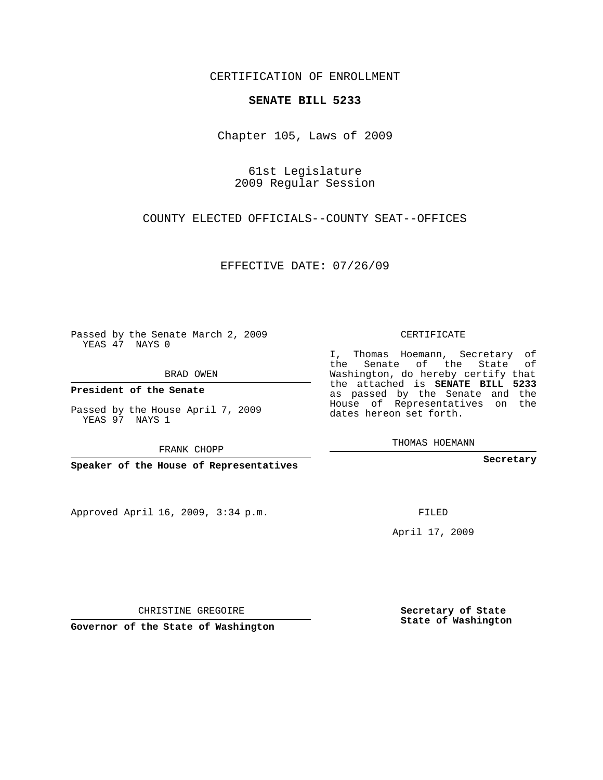CERTIFICATION OF ENROLLMENT

## **SENATE BILL 5233**

Chapter 105, Laws of 2009

61st Legislature 2009 Regular Session

COUNTY ELECTED OFFICIALS--COUNTY SEAT--OFFICES

EFFECTIVE DATE: 07/26/09

Passed by the Senate March 2, 2009 YEAS 47 NAYS 0

BRAD OWEN

**President of the Senate**

Passed by the House April 7, 2009 YEAS 97 NAYS 1

FRANK CHOPP

**Speaker of the House of Representatives**

Approved April 16, 2009, 3:34 p.m.

CERTIFICATE

I, Thomas Hoemann, Secretary of the Senate of the State of Washington, do hereby certify that the attached is **SENATE BILL 5233** as passed by the Senate and the House of Representatives on the dates hereon set forth.

THOMAS HOEMANN

**Secretary**

FILED

April 17, 2009

**Secretary of State State of Washington**

**Governor of the State of Washington**

CHRISTINE GREGOIRE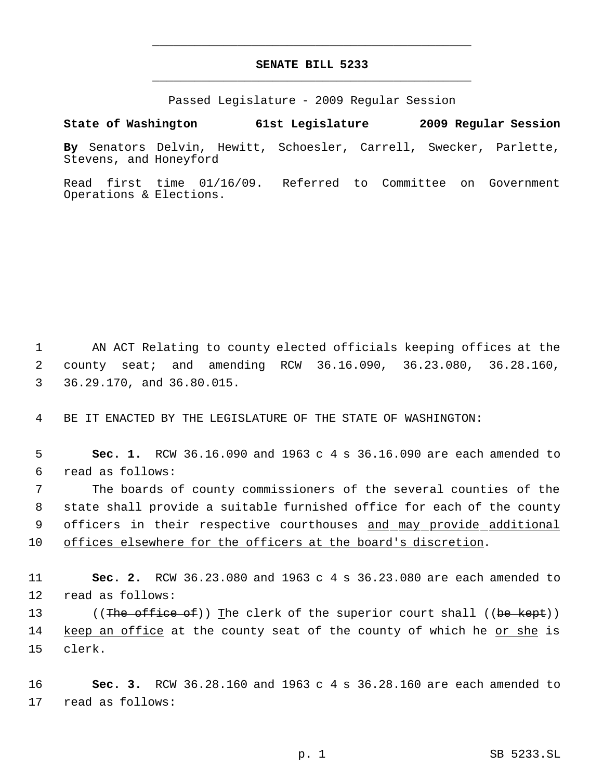## **SENATE BILL 5233** \_\_\_\_\_\_\_\_\_\_\_\_\_\_\_\_\_\_\_\_\_\_\_\_\_\_\_\_\_\_\_\_\_\_\_\_\_\_\_\_\_\_\_\_\_

\_\_\_\_\_\_\_\_\_\_\_\_\_\_\_\_\_\_\_\_\_\_\_\_\_\_\_\_\_\_\_\_\_\_\_\_\_\_\_\_\_\_\_\_\_

Passed Legislature - 2009 Regular Session

**State of Washington 61st Legislature 2009 Regular Session**

**By** Senators Delvin, Hewitt, Schoesler, Carrell, Swecker, Parlette, Stevens, and Honeyford

Read first time 01/16/09. Referred to Committee on Government Operations & Elections.

 1 AN ACT Relating to county elected officials keeping offices at the 2 county seat; and amending RCW 36.16.090, 36.23.080, 36.28.160, 3 36.29.170, and 36.80.015.

4 BE IT ENACTED BY THE LEGISLATURE OF THE STATE OF WASHINGTON:

 5 **Sec. 1.** RCW 36.16.090 and 1963 c 4 s 36.16.090 are each amended to 6 read as follows:

 The boards of county commissioners of the several counties of the state shall provide a suitable furnished office for each of the county 9 officers in their respective courthouses and may provide additional offices elsewhere for the officers at the board's discretion.

11 **Sec. 2.** RCW 36.23.080 and 1963 c 4 s 36.23.080 are each amended to 12 read as follows:

13 ((The office of)) The clerk of the superior court shall ((be kept)) 14 keep an office at the county seat of the county of which he <u>or she</u> is 15 clerk.

16 **Sec. 3.** RCW 36.28.160 and 1963 c 4 s 36.28.160 are each amended to 17 read as follows: